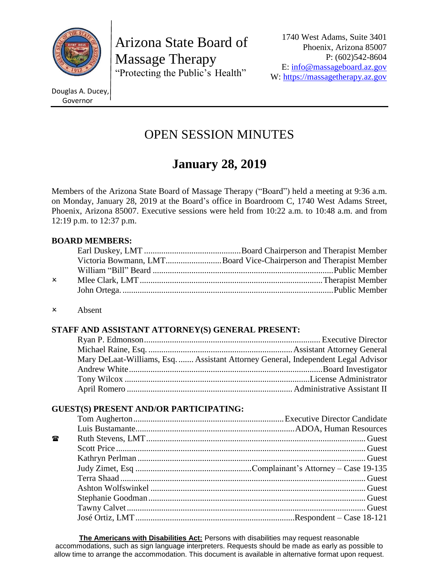

Arizona State Board of Massage Therapy "Protecting the Public's Health"

Douglas A. Ducey, Governor

# OPEN SESSION MINUTES

# **January 28, 2019**

Members of the Arizona State Board of Massage Therapy ("Board") held a meeting at 9:36 a.m. on Monday, January 28, 2019 at the Board's office in Boardroom C, 1740 West Adams Street, Phoenix, Arizona 85007. Executive sessions were held from 10:22 a.m. to 10:48 a.m. and from 12:19 p.m. to 12:37 p.m.

# **BOARD MEMBERS:**

|              | Victoria Bowmann, LMTBoard Vice-Chairperson and Therapist Member |
|--------------|------------------------------------------------------------------|
|              |                                                                  |
| $\mathsf{x}$ |                                                                  |
|              |                                                                  |
|              |                                                                  |

#### Absent

# **STAFF AND ASSISTANT ATTORNEY(S) GENERAL PRESENT:**

| Mary DeLaat-Williams, Esq.  Assistant Attorney General, Independent Legal Advisor |
|-----------------------------------------------------------------------------------|
|                                                                                   |
|                                                                                   |
|                                                                                   |

# **GUEST(S) PRESENT AND/OR PARTICIPATING:**

| 鴌 |  |
|---|--|
|   |  |
|   |  |
|   |  |
|   |  |
|   |  |
|   |  |
|   |  |
|   |  |

**The Americans with Disabilities Act:** Persons with disabilities may request reasonable accommodations, such as sign language interpreters. Requests should be made as early as possible to allow time to arrange the accommodation. This document is available in alternative format upon request.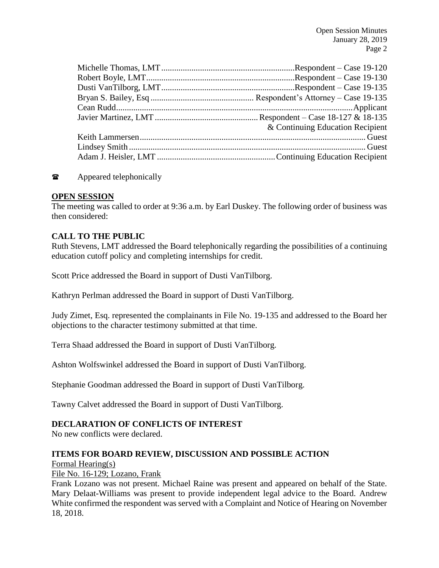| & Continuing Education Recipient |
|----------------------------------|
|                                  |
|                                  |
|                                  |
|                                  |

## **The Appeared telephonically**

#### **OPEN SESSION**

The meeting was called to order at 9:36 a.m. by Earl Duskey. The following order of business was then considered:

## **CALL TO THE PUBLIC**

Ruth Stevens, LMT addressed the Board telephonically regarding the possibilities of a continuing education cutoff policy and completing internships for credit.

Scott Price addressed the Board in support of Dusti VanTilborg.

Kathryn Perlman addressed the Board in support of Dusti VanTilborg.

Judy Zimet, Esq. represented the complainants in File No. 19-135 and addressed to the Board her objections to the character testimony submitted at that time.

Terra Shaad addressed the Board in support of Dusti VanTilborg.

Ashton Wolfswinkel addressed the Board in support of Dusti VanTilborg.

Stephanie Goodman addressed the Board in support of Dusti VanTilborg.

Tawny Calvet addressed the Board in support of Dusti VanTilborg.

## **DECLARATION OF CONFLICTS OF INTEREST**

No new conflicts were declared.

#### **ITEMS FOR BOARD REVIEW, DISCUSSION AND POSSIBLE ACTION**

Formal Hearing(s)

#### File No. 16-129; Lozano, Frank

Frank Lozano was not present. Michael Raine was present and appeared on behalf of the State. Mary Delaat-Williams was present to provide independent legal advice to the Board. Andrew White confirmed the respondent was served with a Complaint and Notice of Hearing on November 18, 2018.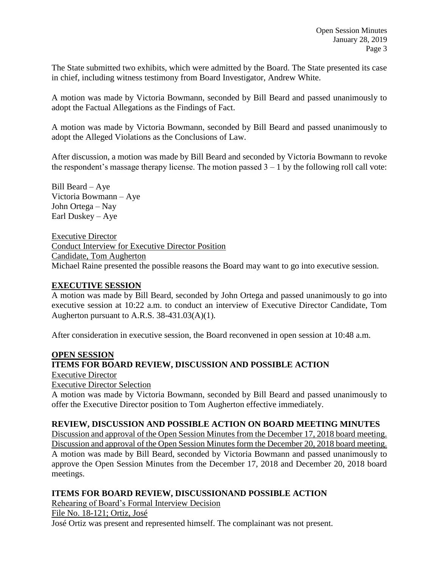The State submitted two exhibits, which were admitted by the Board. The State presented its case in chief, including witness testimony from Board Investigator, Andrew White.

A motion was made by Victoria Bowmann, seconded by Bill Beard and passed unanimously to adopt the Factual Allegations as the Findings of Fact.

A motion was made by Victoria Bowmann, seconded by Bill Beard and passed unanimously to adopt the Alleged Violations as the Conclusions of Law.

After discussion, a motion was made by Bill Beard and seconded by Victoria Bowmann to revoke the respondent's massage therapy license. The motion passed  $3 - 1$  by the following roll call vote:

Bill Beard – Aye Victoria Bowmann – Aye John Ortega – Nay Earl Duskey – Aye

Executive Director Conduct Interview for Executive Director Position Candidate, Tom Augherton Michael Raine presented the possible reasons the Board may want to go into executive session.

#### **EXECUTIVE SESSION**

A motion was made by Bill Beard, seconded by John Ortega and passed unanimously to go into executive session at 10:22 a.m. to conduct an interview of Executive Director Candidate, Tom Augherton pursuant to A.R.S. 38-431.03(A)(1).

After consideration in executive session, the Board reconvened in open session at 10:48 a.m.

#### **OPEN SESSION**

# **ITEMS FOR BOARD REVIEW, DISCUSSION AND POSSIBLE ACTION**

Executive Director

Executive Director Selection

A motion was made by Victoria Bowmann, seconded by Bill Beard and passed unanimously to offer the Executive Director position to Tom Augherton effective immediately.

# **REVIEW, DISCUSSION AND POSSIBLE ACTION ON BOARD MEETING MINUTES**

Discussion and approval of the Open Session Minutes from the December 17, 2018 board meeting. Discussion and approval of the Open Session Minutes form the December 20, 2018 board meeting. A motion was made by Bill Beard, seconded by Victoria Bowmann and passed unanimously to approve the Open Session Minutes from the December 17, 2018 and December 20, 2018 board meetings.

# **ITEMS FOR BOARD REVIEW, DISCUSSIONAND POSSIBLE ACTION**

Rehearing of Board's Formal Interview Decision

File No. 18-121; Ortiz, José

José Ortiz was present and represented himself. The complainant was not present.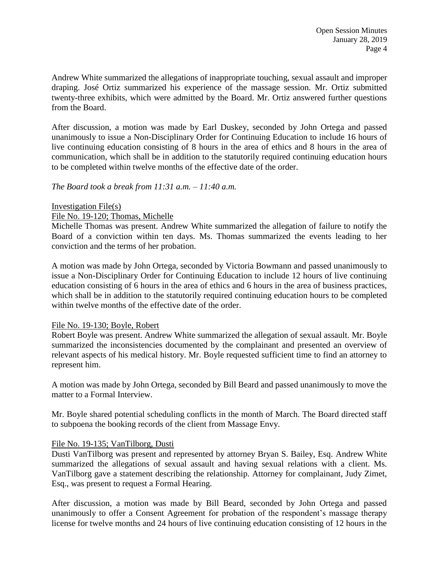Andrew White summarized the allegations of inappropriate touching, sexual assault and improper draping. José Ortiz summarized his experience of the massage session. Mr. Ortiz submitted twenty-three exhibits, which were admitted by the Board. Mr. Ortiz answered further questions from the Board.

After discussion, a motion was made by Earl Duskey, seconded by John Ortega and passed unanimously to issue a Non-Disciplinary Order for Continuing Education to include 16 hours of live continuing education consisting of 8 hours in the area of ethics and 8 hours in the area of communication, which shall be in addition to the statutorily required continuing education hours to be completed within twelve months of the effective date of the order.

*The Board took a break from 11:31 a.m. – 11:40 a.m.*

#### Investigation File(s)

#### File No. 19-120; Thomas, Michelle

Michelle Thomas was present. Andrew White summarized the allegation of failure to notify the Board of a conviction within ten days. Ms. Thomas summarized the events leading to her conviction and the terms of her probation.

A motion was made by John Ortega, seconded by Victoria Bowmann and passed unanimously to issue a Non-Disciplinary Order for Continuing Education to include 12 hours of live continuing education consisting of 6 hours in the area of ethics and 6 hours in the area of business practices, which shall be in addition to the statutorily required continuing education hours to be completed within twelve months of the effective date of the order.

#### File No. 19-130; Boyle, Robert

Robert Boyle was present. Andrew White summarized the allegation of sexual assault. Mr. Boyle summarized the inconsistencies documented by the complainant and presented an overview of relevant aspects of his medical history. Mr. Boyle requested sufficient time to find an attorney to represent him.

A motion was made by John Ortega, seconded by Bill Beard and passed unanimously to move the matter to a Formal Interview.

Mr. Boyle shared potential scheduling conflicts in the month of March. The Board directed staff to subpoena the booking records of the client from Massage Envy.

#### File No. 19-135; VanTilborg, Dusti

Dusti VanTilborg was present and represented by attorney Bryan S. Bailey, Esq. Andrew White summarized the allegations of sexual assault and having sexual relations with a client. Ms. VanTilborg gave a statement describing the relationship. Attorney for complainant, Judy Zimet, Esq., was present to request a Formal Hearing.

After discussion, a motion was made by Bill Beard, seconded by John Ortega and passed unanimously to offer a Consent Agreement for probation of the respondent's massage therapy license for twelve months and 24 hours of live continuing education consisting of 12 hours in the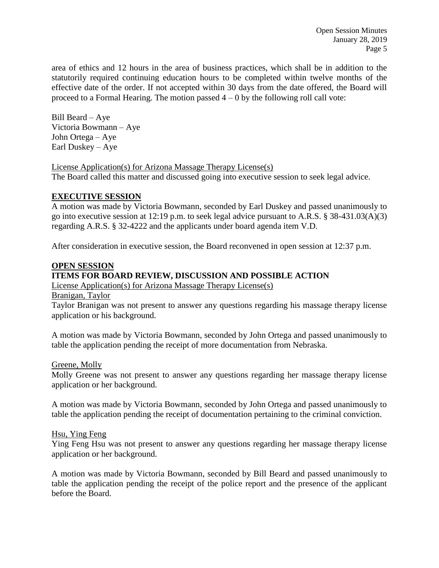area of ethics and 12 hours in the area of business practices, which shall be in addition to the statutorily required continuing education hours to be completed within twelve months of the effective date of the order. If not accepted within 30 days from the date offered, the Board will proceed to a Formal Hearing. The motion passed  $4 - 0$  by the following roll call vote:

Bill Beard – Aye Victoria Bowmann – Aye John Ortega – Aye Earl Duskey – Aye

License Application(s) for Arizona Massage Therapy License(s) The Board called this matter and discussed going into executive session to seek legal advice.

## **EXECUTIVE SESSION**

A motion was made by Victoria Bowmann, seconded by Earl Duskey and passed unanimously to go into executive session at 12:19 p.m. to seek legal advice pursuant to A.R.S. § 38-431.03(A)(3) regarding A.R.S. § 32-4222 and the applicants under board agenda item V.D.

After consideration in executive session, the Board reconvened in open session at 12:37 p.m.

#### **OPEN SESSION**

# **ITEMS FOR BOARD REVIEW, DISCUSSION AND POSSIBLE ACTION**

License Application(s) for Arizona Massage Therapy License(s)

Branigan, Taylor

Taylor Branigan was not present to answer any questions regarding his massage therapy license application or his background.

A motion was made by Victoria Bowmann, seconded by John Ortega and passed unanimously to table the application pending the receipt of more documentation from Nebraska.

#### Greene, Molly

Molly Greene was not present to answer any questions regarding her massage therapy license application or her background.

A motion was made by Victoria Bowmann, seconded by John Ortega and passed unanimously to table the application pending the receipt of documentation pertaining to the criminal conviction.

#### Hsu, Ying Feng

Ying Feng Hsu was not present to answer any questions regarding her massage therapy license application or her background.

A motion was made by Victoria Bowmann, seconded by Bill Beard and passed unanimously to table the application pending the receipt of the police report and the presence of the applicant before the Board.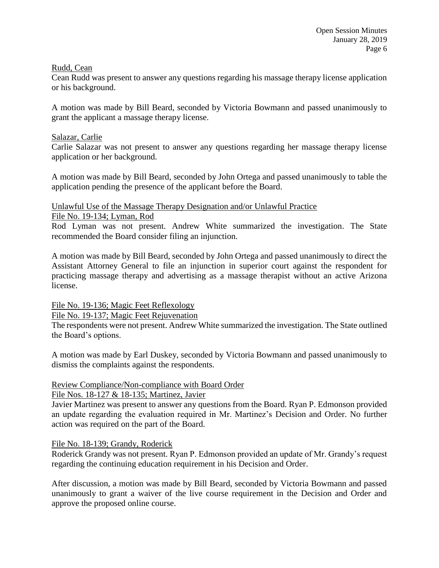#### Rudd, Cean

Cean Rudd was present to answer any questions regarding his massage therapy license application or his background.

A motion was made by Bill Beard, seconded by Victoria Bowmann and passed unanimously to grant the applicant a massage therapy license.

## Salazar, Carlie

Carlie Salazar was not present to answer any questions regarding her massage therapy license application or her background.

A motion was made by Bill Beard, seconded by John Ortega and passed unanimously to table the application pending the presence of the applicant before the Board.

# Unlawful Use of the Massage Therapy Designation and/or Unlawful Practice

File No. 19-134; Lyman, Rod

Rod Lyman was not present. Andrew White summarized the investigation. The State recommended the Board consider filing an injunction.

A motion was made by Bill Beard, seconded by John Ortega and passed unanimously to direct the Assistant Attorney General to file an injunction in superior court against the respondent for practicing massage therapy and advertising as a massage therapist without an active Arizona license.

# File No. 19-136; Magic Feet Reflexology

File No. 19-137; Magic Feet Rejuvenation

The respondents were not present. Andrew White summarized the investigation. The State outlined the Board's options.

A motion was made by Earl Duskey, seconded by Victoria Bowmann and passed unanimously to dismiss the complaints against the respondents.

#### Review Compliance/Non-compliance with Board Order

#### File Nos. 18-127 & 18-135; Martinez, Javier

Javier Martinez was present to answer any questions from the Board. Ryan P. Edmonson provided an update regarding the evaluation required in Mr. Martinez's Decision and Order. No further action was required on the part of the Board.

#### File No. 18-139; Grandy, Roderick

Roderick Grandy was not present. Ryan P. Edmonson provided an update of Mr. Grandy's request regarding the continuing education requirement in his Decision and Order.

After discussion, a motion was made by Bill Beard, seconded by Victoria Bowmann and passed unanimously to grant a waiver of the live course requirement in the Decision and Order and approve the proposed online course.